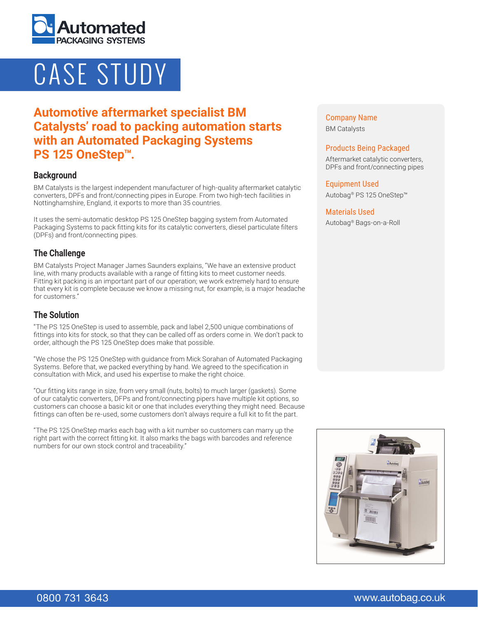

# CASE STUDY

# **Automotive aftermarket specialist BM Catalysts' road to packing automation starts with an Automated Packaging Systems PS 125 OneStep™.**

#### **Background**

BM Catalysts is the largest independent manufacturer of high-quality aftermarket catalytic converters, DPFs and front/connecting pipes in Europe. From two high-tech facilities in Nottinghamshire, England, it exports to more than 35 countries.

It uses the semi-automatic desktop PS 125 OneStep bagging system from Automated Packaging Systems to pack fitting kits for its catalytic converters, diesel particulate filters (DPFs) and front/connecting pipes.

### **The Challenge**

BM Catalysts Project Manager James Saunders explains, "We have an extensive product line, with many products available with a range of fitting kits to meet customer needs. Fitting kit packing is an important part of our operation; we work extremely hard to ensure that every kit is complete because we know a missing nut, for example, is a major headache for customers."

# **The Solution**

"The PS 125 OneStep is used to assemble, pack and label 2,500 unique combinations of fittings into kits for stock, so that they can be called off as orders come in. We don't pack to order, although the PS 125 OneStep does make that possible.

"We chose the PS 125 OneStep with guidance from Mick Sorahan of Automated Packaging Systems. Before that, we packed everything by hand. We agreed to the specification in consultation with Mick, and used his expertise to make the right choice.

"Our fitting kits range in size, from very small (nuts, bolts) to much larger (gaskets). Some of our catalytic converters, DFPs and front/connecting pipers have multiple kit options, so customers can choose a basic kit or one that includes everything they might need. Because fittings can often be re-used, some customers don't always require a full kit to fit the part.

"The PS 125 OneStep marks each bag with a kit number so customers can marry up the right part with the correct fitting kit. It also marks the bags with barcodes and reference numbers for our own stock control and traceability."

Company Name BM Catalysts

#### Products Being Packaged

Aftermarket catalytic converters, DPFs and front/connecting pipes

Equipment Used Autobag® PS 125 OneStep™

#### Materials Used

Autobag® Bags-on-a-Roll